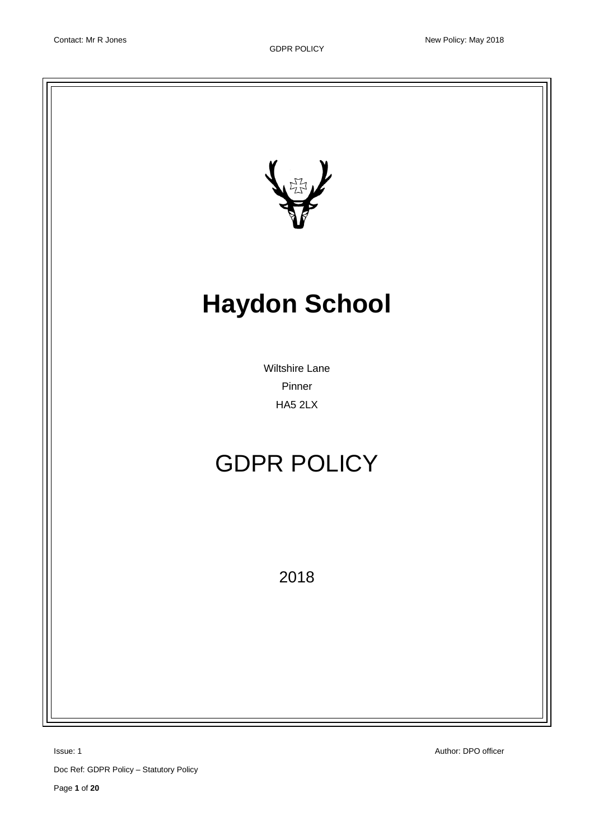

Doc Ref: GDPR Policy – Statutory Policy

Page **1** of **20**

**Issue: 1** Author: DPO officer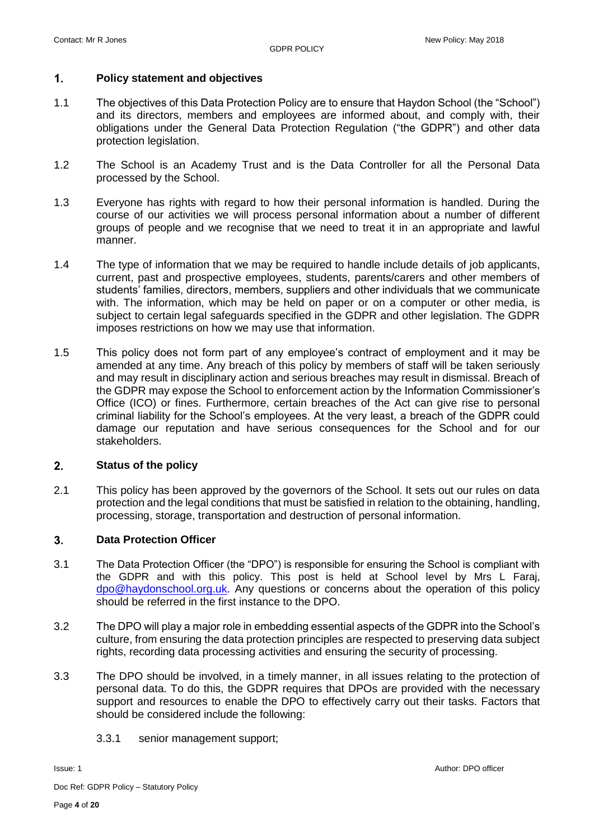#### $1.$ **Policy statement and objectives**

- 1.1 The objectives of this Data Protection Policy are to ensure that Haydon School (the "School") and its directors, members and employees are informed about, and comply with, their obligations under the General Data Protection Regulation ("the GDPR") and other data protection legislation.
- 1.2 The School is an Academy Trust and is the Data Controller for all the Personal Data processed by the School.
- 1.3 Everyone has rights with regard to how their personal information is handled. During the course of our activities we will process personal information about a number of different groups of people and we recognise that we need to treat it in an appropriate and lawful manner.
- 1.4 The type of information that we may be required to handle include details of job applicants, current, past and prospective employees, students, parents/carers and other members of students' families, directors, members, suppliers and other individuals that we communicate with. The information, which may be held on paper or on a computer or other media, is subject to certain legal safeguards specified in the GDPR and other legislation. The GDPR imposes restrictions on how we may use that information.
- 1.5 This policy does not form part of any employee's contract of employment and it may be amended at any time. Any breach of this policy by members of staff will be taken seriously and may result in disciplinary action and serious breaches may result in dismissal. Breach of the GDPR may expose the School to enforcement action by the Information Commissioner's Office (ICO) or fines. Furthermore, certain breaches of the Act can give rise to personal criminal liability for the School's employees. At the very least, a breach of the GDPR could damage our reputation and have serious consequences for the School and for our stakeholders.

#### $2<sub>1</sub>$ **Status of the policy**

2.1 This policy has been approved by the governors of the School. It sets out our rules on data protection and the legal conditions that must be satisfied in relation to the obtaining, handling, processing, storage, transportation and destruction of personal information.

#### $3<sub>1</sub>$ **Data Protection Officer**

- 3.1 The Data Protection Officer (the "DPO") is responsible for ensuring the School is compliant with the GDPR and with this policy. This post is held at School level by Mrs L Faraj, [dpo@haydonschool.org.uk.](mailto:dpo@haydonschool.org.uk) Any questions or concerns about the operation of this policy should be referred in the first instance to the DPO.
- 3.2 The DPO will play a major role in embedding essential aspects of the GDPR into the School's culture, from ensuring the data protection principles are respected to preserving data subject rights, recording data processing activities and ensuring the security of processing.
- 3.3 The DPO should be involved, in a timely manner, in all issues relating to the protection of personal data. To do this, the GDPR requires that DPOs are provided with the necessary support and resources to enable the DPO to effectively carry out their tasks. Factors that should be considered include the following:
	- 3.3.1 senior management support;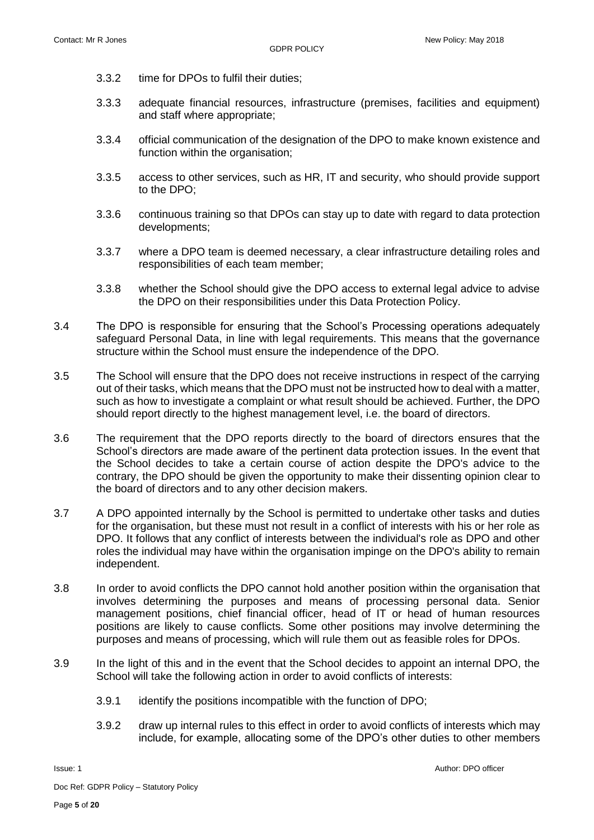- 3.3.2 time for DPOs to fulfil their duties;
- 3.3.3 adequate financial resources, infrastructure (premises, facilities and equipment) and staff where appropriate;
- 3.3.4 official communication of the designation of the DPO to make known existence and function within the organisation;
- 3.3.5 access to other services, such as HR, IT and security, who should provide support to the DPO;
- 3.3.6 continuous training so that DPOs can stay up to date with regard to data protection developments;
- 3.3.7 where a DPO team is deemed necessary, a clear infrastructure detailing roles and responsibilities of each team member;
- 3.3.8 whether the School should give the DPO access to external legal advice to advise the DPO on their responsibilities under this Data Protection Policy.
- 3.4 The DPO is responsible for ensuring that the School's Processing operations adequately safeguard Personal Data, in line with legal requirements. This means that the governance structure within the School must ensure the independence of the DPO.
- 3.5 The School will ensure that the DPO does not receive instructions in respect of the carrying out of their tasks, which means that the DPO must not be instructed how to deal with a matter, such as how to investigate a complaint or what result should be achieved. Further, the DPO should report directly to the highest management level, i.e. the board of directors.
- 3.6 The requirement that the DPO reports directly to the board of directors ensures that the School's directors are made aware of the pertinent data protection issues. In the event that the School decides to take a certain course of action despite the DPO's advice to the contrary, the DPO should be given the opportunity to make their dissenting opinion clear to the board of directors and to any other decision makers.
- 3.7 A DPO appointed internally by the School is permitted to undertake other tasks and duties for the organisation, but these must not result in a conflict of interests with his or her role as DPO. It follows that any conflict of interests between the individual's role as DPO and other roles the individual may have within the organisation impinge on the DPO's ability to remain independent.
- 3.8 In order to avoid conflicts the DPO cannot hold another position within the organisation that involves determining the purposes and means of processing personal data. Senior management positions, chief financial officer, head of IT or head of human resources positions are likely to cause conflicts. Some other positions may involve determining the purposes and means of processing, which will rule them out as feasible roles for DPOs.
- 3.9 In the light of this and in the event that the School decides to appoint an internal DPO, the School will take the following action in order to avoid conflicts of interests:
	- 3.9.1 identify the positions incompatible with the function of DPO;
	- 3.9.2 draw up internal rules to this effect in order to avoid conflicts of interests which may include, for example, allocating some of the DPO's other duties to other members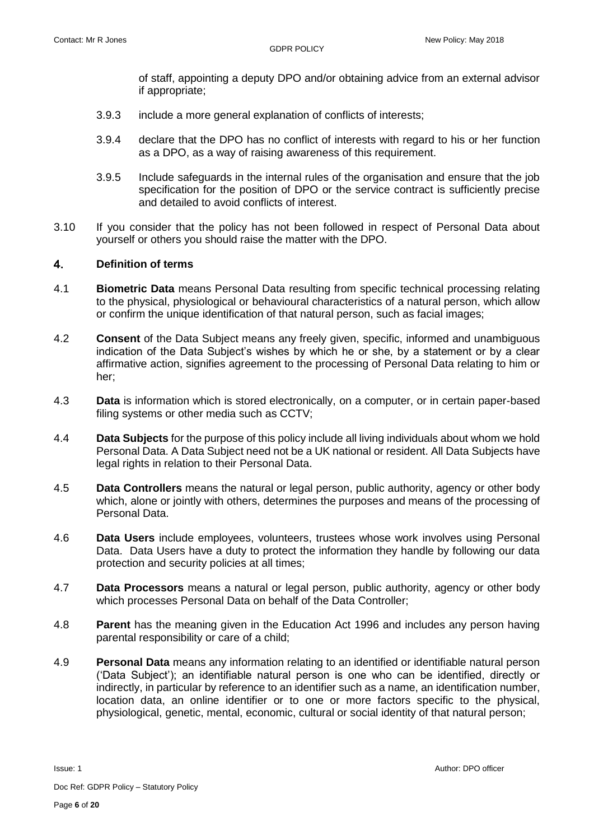of staff, appointing a deputy DPO and/or obtaining advice from an external advisor if appropriate;

- 3.9.3 include a more general explanation of conflicts of interests;
- 3.9.4 declare that the DPO has no conflict of interests with regard to his or her function as a DPO, as a way of raising awareness of this requirement.
- 3.9.5 Include safeguards in the internal rules of the organisation and ensure that the job specification for the position of DPO or the service contract is sufficiently precise and detailed to avoid conflicts of interest.
- 3.10 If you consider that the policy has not been followed in respect of Personal Data about yourself or others you should raise the matter with the DPO.

#### $\overline{\mathbf{4}}$ . **Definition of terms**

- 4.1 **Biometric Data** means Personal Data resulting from specific technical processing relating to the physical, physiological or behavioural characteristics of a natural person, which allow or confirm the unique identification of that natural person, such as facial images;
- 4.2 **Consent** of the Data Subject means any freely given, specific, informed and unambiguous indication of the Data Subject's wishes by which he or she, by a statement or by a clear affirmative action, signifies agreement to the processing of Personal Data relating to him or her;
- 4.3 **Data** is information which is stored electronically, on a computer, or in certain paper-based filing systems or other media such as CCTV;
- 4.4 **Data Subjects** for the purpose of this policy include all living individuals about whom we hold Personal Data. A Data Subject need not be a UK national or resident. All Data Subjects have legal rights in relation to their Personal Data.
- 4.5 **Data Controllers** means the natural or legal person, public authority, agency or other body which, alone or jointly with others, determines the purposes and means of the processing of Personal Data.
- 4.6 **Data Users** include employees, volunteers, trustees whose work involves using Personal Data. Data Users have a duty to protect the information they handle by following our data protection and security policies at all times;
- 4.7 **Data Processors** means a natural or legal person, public authority, agency or other body which processes Personal Data on behalf of the Data Controller;
- 4.8 **Parent** has the meaning given in the Education Act 1996 and includes any person having parental responsibility or care of a child;
- 4.9 **Personal Data** means any information relating to an identified or identifiable natural person ('Data Subject'); an identifiable natural person is one who can be identified, directly or indirectly, in particular by reference to an identifier such as a name, an identification number, location data, an online identifier or to one or more factors specific to the physical, physiological, genetic, mental, economic, cultural or social identity of that natural person;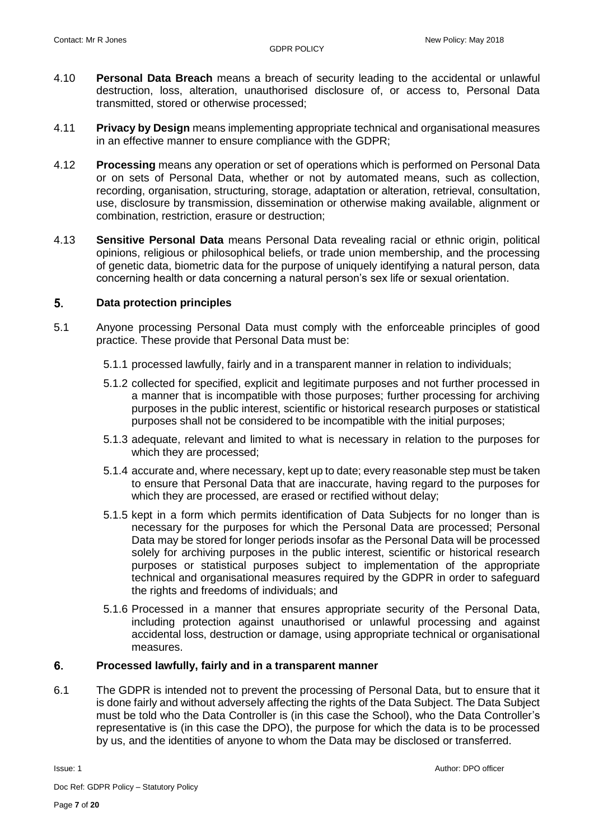- 4.10 **Personal Data Breach** means a breach of security leading to the accidental or unlawful destruction, loss, alteration, unauthorised disclosure of, or access to, Personal Data transmitted, stored or otherwise processed;
- 4.11 **Privacy by Design** means implementing appropriate technical and organisational measures in an effective manner to ensure compliance with the GDPR;
- 4.12 **Processing** means any operation or set of operations which is performed on Personal Data or on sets of Personal Data, whether or not by automated means, such as collection, recording, organisation, structuring, storage, adaptation or alteration, retrieval, consultation, use, disclosure by transmission, dissemination or otherwise making available, alignment or combination, restriction, erasure or destruction;
- 4.13 **Sensitive Personal Data** means Personal Data revealing racial or ethnic origin, political opinions, religious or philosophical beliefs, or trade union membership, and the processing of genetic data, biometric data for the purpose of uniquely identifying a natural person, data concerning health or data concerning a natural person's sex life or sexual orientation.

#### $5<sub>1</sub>$ **Data protection principles**

- 5.1 Anyone processing Personal Data must comply with the enforceable principles of good practice. These provide that Personal Data must be:
	- 5.1.1 processed lawfully, fairly and in a transparent manner in relation to individuals;
	- 5.1.2 collected for specified, explicit and legitimate purposes and not further processed in a manner that is incompatible with those purposes; further processing for archiving purposes in the public interest, scientific or historical research purposes or statistical purposes shall not be considered to be incompatible with the initial purposes;
	- 5.1.3 adequate, relevant and limited to what is necessary in relation to the purposes for which they are processed;
	- 5.1.4 accurate and, where necessary, kept up to date; every reasonable step must be taken to ensure that Personal Data that are inaccurate, having regard to the purposes for which they are processed, are erased or rectified without delay;
	- 5.1.5 kept in a form which permits identification of Data Subjects for no longer than is necessary for the purposes for which the Personal Data are processed; Personal Data may be stored for longer periods insofar as the Personal Data will be processed solely for archiving purposes in the public interest, scientific or historical research purposes or statistical purposes subject to implementation of the appropriate technical and organisational measures required by the GDPR in order to safeguard the rights and freedoms of individuals; and
	- 5.1.6 Processed in a manner that ensures appropriate security of the Personal Data, including protection against unauthorised or unlawful processing and against accidental loss, destruction or damage, using appropriate technical or organisational measures.

#### 6. **Processed lawfully, fairly and in a transparent manner**

6.1 The GDPR is intended not to prevent the processing of Personal Data, but to ensure that it is done fairly and without adversely affecting the rights of the Data Subject. The Data Subject must be told who the Data Controller is (in this case the School), who the Data Controller's representative is (in this case the DPO), the purpose for which the data is to be processed by us, and the identities of anyone to whom the Data may be disclosed or transferred.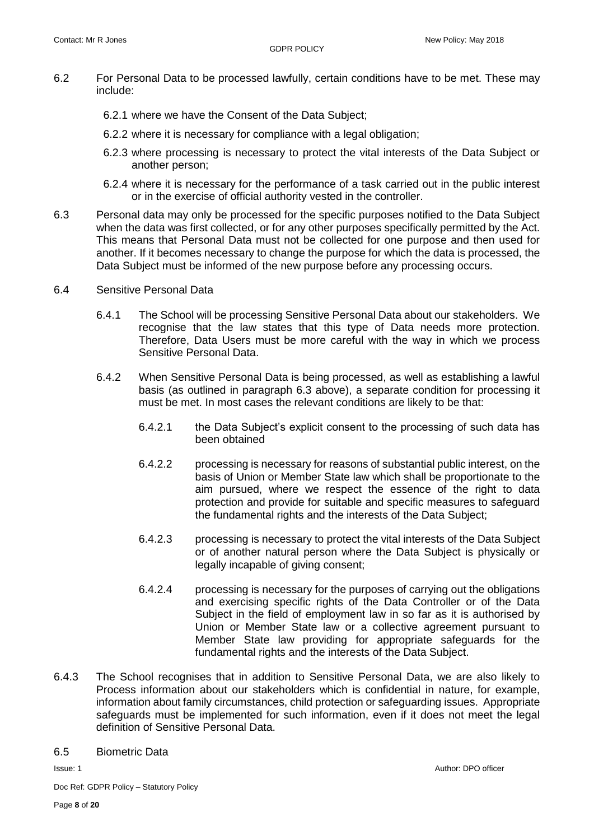- 6.2 For Personal Data to be processed lawfully, certain conditions have to be met. These may include:
	- 6.2.1 where we have the Consent of the Data Subject;
	- 6.2.2 where it is necessary for compliance with a legal obligation;
	- 6.2.3 where processing is necessary to protect the vital interests of the Data Subject or another person;
	- 6.2.4 where it is necessary for the performance of a task carried out in the public interest or in the exercise of official authority vested in the controller.
- 6.3 Personal data may only be processed for the specific purposes notified to the Data Subject when the data was first collected, or for any other purposes specifically permitted by the Act. This means that Personal Data must not be collected for one purpose and then used for another. If it becomes necessary to change the purpose for which the data is processed, the Data Subject must be informed of the new purpose before any processing occurs.
- 6.4 Sensitive Personal Data
	- 6.4.1 The School will be processing Sensitive Personal Data about our stakeholders. We recognise that the law states that this type of Data needs more protection. Therefore, Data Users must be more careful with the way in which we process Sensitive Personal Data.
	- 6.4.2 When Sensitive Personal Data is being processed, as well as establishing a lawful basis (as outlined in paragraph 6.3 above), a separate condition for processing it must be met. In most cases the relevant conditions are likely to be that:
		- 6.4.2.1 the Data Subject's explicit consent to the processing of such data has been obtained
		- 6.4.2.2 processing is necessary for reasons of substantial public interest, on the basis of Union or Member State law which shall be proportionate to the aim pursued, where we respect the essence of the right to data protection and provide for suitable and specific measures to safeguard the fundamental rights and the interests of the Data Subject;
		- 6.4.2.3 processing is necessary to protect the vital interests of the Data Subject or of another natural person where the Data Subject is physically or legally incapable of giving consent;
		- 6.4.2.4 processing is necessary for the purposes of carrying out the obligations and exercising specific rights of the Data Controller or of the Data Subject in the field of employment law in so far as it is authorised by Union or Member State law or a collective agreement pursuant to Member State law providing for appropriate safeguards for the fundamental rights and the interests of the Data Subject.
- 6.4.3 The School recognises that in addition to Sensitive Personal Data, we are also likely to Process information about our stakeholders which is confidential in nature, for example, information about family circumstances, child protection or safeguarding issues. Appropriate safeguards must be implemented for such information, even if it does not meet the legal definition of Sensitive Personal Data.

### 6.5 Biometric Data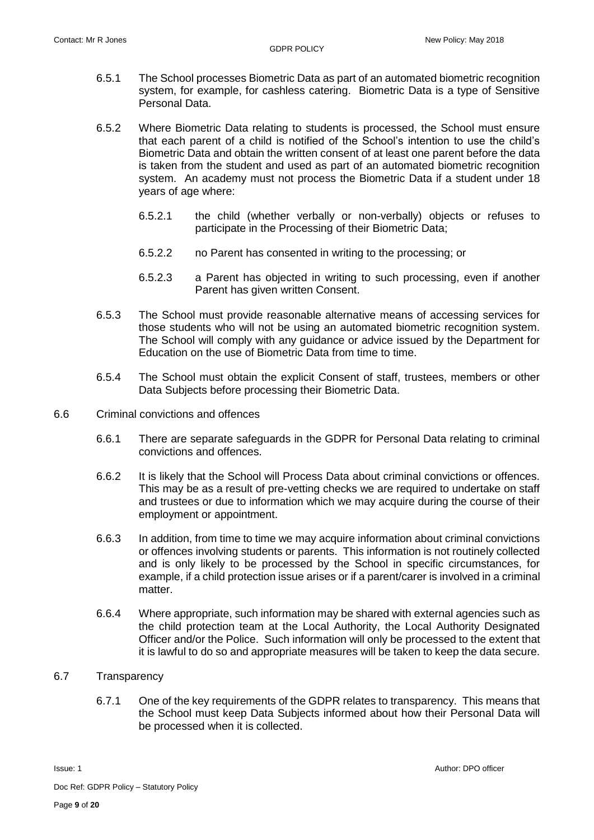- 6.5.1 The School processes Biometric Data as part of an automated biometric recognition system, for example, for cashless catering. Biometric Data is a type of Sensitive Personal Data.
- 6.5.2 Where Biometric Data relating to students is processed, the School must ensure that each parent of a child is notified of the School's intention to use the child's Biometric Data and obtain the written consent of at least one parent before the data is taken from the student and used as part of an automated biometric recognition system. An academy must not process the Biometric Data if a student under 18 years of age where:
	- 6.5.2.1 the child (whether verbally or non-verbally) objects or refuses to participate in the Processing of their Biometric Data;
	- 6.5.2.2 no Parent has consented in writing to the processing; or
	- 6.5.2.3 a Parent has objected in writing to such processing, even if another Parent has given written Consent.
- 6.5.3 The School must provide reasonable alternative means of accessing services for those students who will not be using an automated biometric recognition system. The School will comply with any guidance or advice issued by the Department for Education on the use of Biometric Data from time to time.
- 6.5.4 The School must obtain the explicit Consent of staff, trustees, members or other Data Subjects before processing their Biometric Data.
- 6.6 Criminal convictions and offences
	- 6.6.1 There are separate safeguards in the GDPR for Personal Data relating to criminal convictions and offences.
	- 6.6.2 It is likely that the School will Process Data about criminal convictions or offences. This may be as a result of pre-vetting checks we are required to undertake on staff and trustees or due to information which we may acquire during the course of their employment or appointment.
	- 6.6.3 In addition, from time to time we may acquire information about criminal convictions or offences involving students or parents. This information is not routinely collected and is only likely to be processed by the School in specific circumstances, for example, if a child protection issue arises or if a parent/carer is involved in a criminal matter.
	- 6.6.4 Where appropriate, such information may be shared with external agencies such as the child protection team at the Local Authority, the Local Authority Designated Officer and/or the Police. Such information will only be processed to the extent that it is lawful to do so and appropriate measures will be taken to keep the data secure.

## 6.7 Transparency

6.7.1 One of the key requirements of the GDPR relates to transparency. This means that the School must keep Data Subjects informed about how their Personal Data will be processed when it is collected.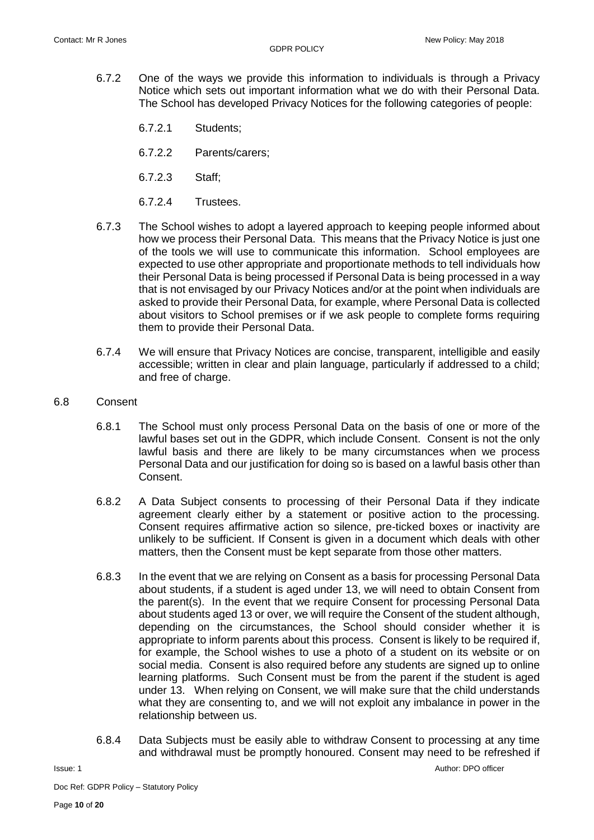- 6.7.2 One of the ways we provide this information to individuals is through a Privacy Notice which sets out important information what we do with their Personal Data. The School has developed Privacy Notices for the following categories of people:
	- 6.7.2.1 Students;
	- 6.7.2.2 Parents/carers;
	- 6.7.2.3 Staff;
	- 6.7.2.4 Trustees.
- 6.7.3 The School wishes to adopt a layered approach to keeping people informed about how we process their Personal Data. This means that the Privacy Notice is just one of the tools we will use to communicate this information. School employees are expected to use other appropriate and proportionate methods to tell individuals how their Personal Data is being processed if Personal Data is being processed in a way that is not envisaged by our Privacy Notices and/or at the point when individuals are asked to provide their Personal Data, for example, where Personal Data is collected about visitors to School premises or if we ask people to complete forms requiring them to provide their Personal Data.
- 6.7.4 We will ensure that Privacy Notices are concise, transparent, intelligible and easily accessible; written in clear and plain language, particularly if addressed to a child; and free of charge.
- 6.8 Consent
	- 6.8.1 The School must only process Personal Data on the basis of one or more of the lawful bases set out in the GDPR, which include Consent. Consent is not the only lawful basis and there are likely to be many circumstances when we process Personal Data and our justification for doing so is based on a lawful basis other than Consent.
	- 6.8.2 A Data Subject consents to processing of their Personal Data if they indicate agreement clearly either by a statement or positive action to the processing. Consent requires affirmative action so silence, pre-ticked boxes or inactivity are unlikely to be sufficient. If Consent is given in a document which deals with other matters, then the Consent must be kept separate from those other matters.
	- 6.8.3 In the event that we are relying on Consent as a basis for processing Personal Data about students, if a student is aged under 13, we will need to obtain Consent from the parent(s). In the event that we require Consent for processing Personal Data about students aged 13 or over, we will require the Consent of the student although, depending on the circumstances, the School should consider whether it is appropriate to inform parents about this process. Consent is likely to be required if, for example, the School wishes to use a photo of a student on its website or on social media. Consent is also required before any students are signed up to online learning platforms. Such Consent must be from the parent if the student is aged under 13. When relying on Consent, we will make sure that the child understands what they are consenting to, and we will not exploit any imbalance in power in the relationship between us.
	- 6.8.4 Data Subjects must be easily able to withdraw Consent to processing at any time and withdrawal must be promptly honoured. Consent may need to be refreshed if

**Issue: 1** Author: DPO officer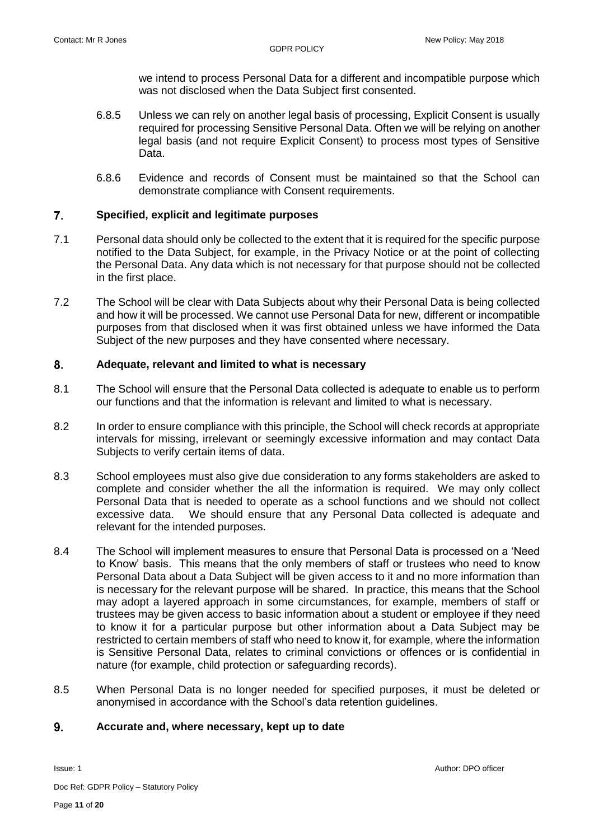we intend to process Personal Data for a different and incompatible purpose which was not disclosed when the Data Subject first consented.

- 6.8.5 Unless we can rely on another legal basis of processing, Explicit Consent is usually required for processing Sensitive Personal Data. Often we will be relying on another legal basis (and not require Explicit Consent) to process most types of Sensitive Data.
- 6.8.6 Evidence and records of Consent must be maintained so that the School can demonstrate compliance with Consent requirements.

#### $\overline{7}$ **Specified, explicit and legitimate purposes**

- 7.1 Personal data should only be collected to the extent that it is required for the specific purpose notified to the Data Subject, for example, in the Privacy Notice or at the point of collecting the Personal Data. Any data which is not necessary for that purpose should not be collected in the first place.
- 7.2 The School will be clear with Data Subjects about why their Personal Data is being collected and how it will be processed. We cannot use Personal Data for new, different or incompatible purposes from that disclosed when it was first obtained unless we have informed the Data Subject of the new purposes and they have consented where necessary.

#### 8. **Adequate, relevant and limited to what is necessary**

- 8.1 The School will ensure that the Personal Data collected is adequate to enable us to perform our functions and that the information is relevant and limited to what is necessary.
- 8.2 In order to ensure compliance with this principle, the School will check records at appropriate intervals for missing, irrelevant or seemingly excessive information and may contact Data Subjects to verify certain items of data.
- 8.3 School employees must also give due consideration to any forms stakeholders are asked to complete and consider whether the all the information is required. We may only collect Personal Data that is needed to operate as a school functions and we should not collect excessive data. We should ensure that any Personal Data collected is adequate and relevant for the intended purposes.
- 8.4 The School will implement measures to ensure that Personal Data is processed on a 'Need to Know' basis. This means that the only members of staff or trustees who need to know Personal Data about a Data Subject will be given access to it and no more information than is necessary for the relevant purpose will be shared. In practice, this means that the School may adopt a layered approach in some circumstances, for example, members of staff or trustees may be given access to basic information about a student or employee if they need to know it for a particular purpose but other information about a Data Subject may be restricted to certain members of staff who need to know it, for example, where the information is Sensitive Personal Data, relates to criminal convictions or offences or is confidential in nature (for example, child protection or safeguarding records).
- 8.5 When Personal Data is no longer needed for specified purposes, it must be deleted or anonymised in accordance with the School's data retention guidelines.

#### 9. **Accurate and, where necessary, kept up to date**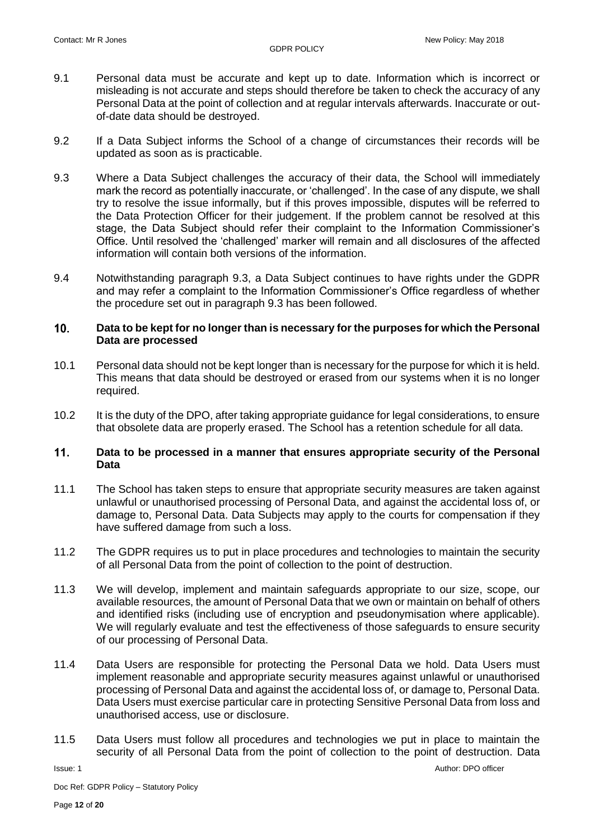- 9.1 Personal data must be accurate and kept up to date. Information which is incorrect or misleading is not accurate and steps should therefore be taken to check the accuracy of any Personal Data at the point of collection and at regular intervals afterwards. Inaccurate or outof-date data should be destroyed.
- 9.2 If a Data Subject informs the School of a change of circumstances their records will be updated as soon as is practicable.
- 9.3 Where a Data Subject challenges the accuracy of their data, the School will immediately mark the record as potentially inaccurate, or 'challenged'. In the case of any dispute, we shall try to resolve the issue informally, but if this proves impossible, disputes will be referred to the Data Protection Officer for their judgement. If the problem cannot be resolved at this stage, the Data Subject should refer their complaint to the Information Commissioner's Office. Until resolved the 'challenged' marker will remain and all disclosures of the affected information will contain both versions of the information.
- 9.4 Notwithstanding paragraph 9.3, a Data Subject continues to have rights under the GDPR and may refer a complaint to the Information Commissioner's Office regardless of whether the procedure set out in paragraph 9.3 has been followed.

### $10<sub>1</sub>$ **Data to be kept for no longer than is necessary for the purposes for which the Personal Data are processed**

- 10.1 Personal data should not be kept longer than is necessary for the purpose for which it is held. This means that data should be destroyed or erased from our systems when it is no longer required.
- 10.2 It is the duty of the DPO, after taking appropriate guidance for legal considerations, to ensure that obsolete data are properly erased. The School has a retention schedule for all data.

### $11.$ **Data to be processed in a manner that ensures appropriate security of the Personal Data**

- 11.1 The School has taken steps to ensure that appropriate security measures are taken against unlawful or unauthorised processing of Personal Data, and against the accidental loss of, or damage to, Personal Data. Data Subjects may apply to the courts for compensation if they have suffered damage from such a loss.
- 11.2 The GDPR requires us to put in place procedures and technologies to maintain the security of all Personal Data from the point of collection to the point of destruction.
- 11.3 We will develop, implement and maintain safeguards appropriate to our size, scope, our available resources, the amount of Personal Data that we own or maintain on behalf of others and identified risks (including use of encryption and pseudonymisation where applicable). We will regularly evaluate and test the effectiveness of those safeguards to ensure security of our processing of Personal Data.
- 11.4 Data Users are responsible for protecting the Personal Data we hold. Data Users must implement reasonable and appropriate security measures against unlawful or unauthorised processing of Personal Data and against the accidental loss of, or damage to, Personal Data. Data Users must exercise particular care in protecting Sensitive Personal Data from loss and unauthorised access, use or disclosure.
- 11.5 Data Users must follow all procedures and technologies we put in place to maintain the security of all Personal Data from the point of collection to the point of destruction. Data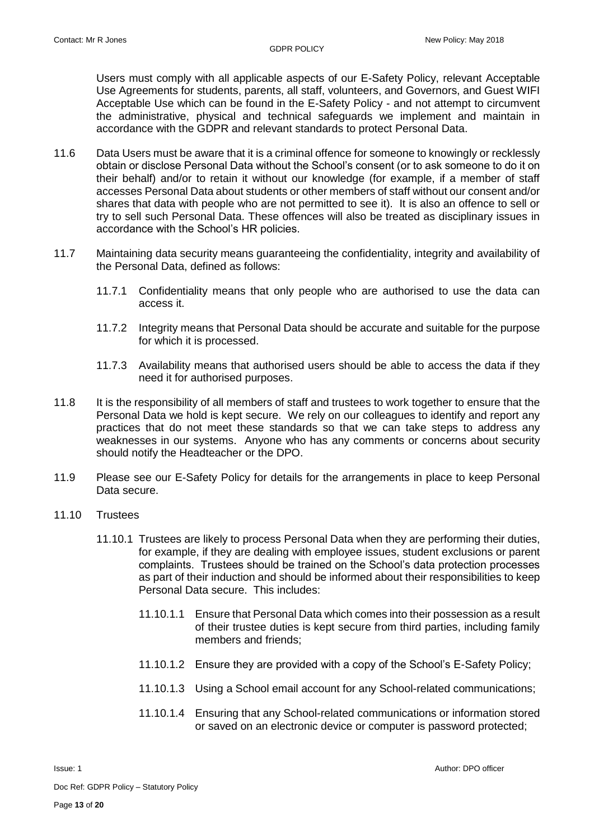Users must comply with all applicable aspects of our E-Safety Policy, relevant Acceptable Use Agreements for students, parents, all staff, volunteers, and Governors, and Guest WIFI Acceptable Use which can be found in the E-Safety Policy - and not attempt to circumvent the administrative, physical and technical safeguards we implement and maintain in accordance with the GDPR and relevant standards to protect Personal Data.

- 11.6 Data Users must be aware that it is a criminal offence for someone to knowingly or recklessly obtain or disclose Personal Data without the School's consent (or to ask someone to do it on their behalf) and/or to retain it without our knowledge (for example, if a member of staff accesses Personal Data about students or other members of staff without our consent and/or shares that data with people who are not permitted to see it). It is also an offence to sell or try to sell such Personal Data. These offences will also be treated as disciplinary issues in accordance with the School's HR policies.
- 11.7 Maintaining data security means guaranteeing the confidentiality, integrity and availability of the Personal Data, defined as follows:
	- 11.7.1 Confidentiality means that only people who are authorised to use the data can access it.
	- 11.7.2 Integrity means that Personal Data should be accurate and suitable for the purpose for which it is processed.
	- 11.7.3 Availability means that authorised users should be able to access the data if they need it for authorised purposes.
- 11.8 It is the responsibility of all members of staff and trustees to work together to ensure that the Personal Data we hold is kept secure. We rely on our colleagues to identify and report any practices that do not meet these standards so that we can take steps to address any weaknesses in our systems. Anyone who has any comments or concerns about security should notify the Headteacher or the DPO.
- 11.9 Please see our E-Safety Policy for details for the arrangements in place to keep Personal Data secure.

## 11.10 Trustees

- 11.10.1 Trustees are likely to process Personal Data when they are performing their duties, for example, if they are dealing with employee issues, student exclusions or parent complaints. Trustees should be trained on the School's data protection processes as part of their induction and should be informed about their responsibilities to keep Personal Data secure. This includes:
	- 11.10.1.1 Ensure that Personal Data which comes into their possession as a result of their trustee duties is kept secure from third parties, including family members and friends;
	- 11.10.1.2 Ensure they are provided with a copy of the School's E-Safety Policy;
	- 11.10.1.3 Using a School email account for any School-related communications;
	- 11.10.1.4 Ensuring that any School-related communications or information stored or saved on an electronic device or computer is password protected;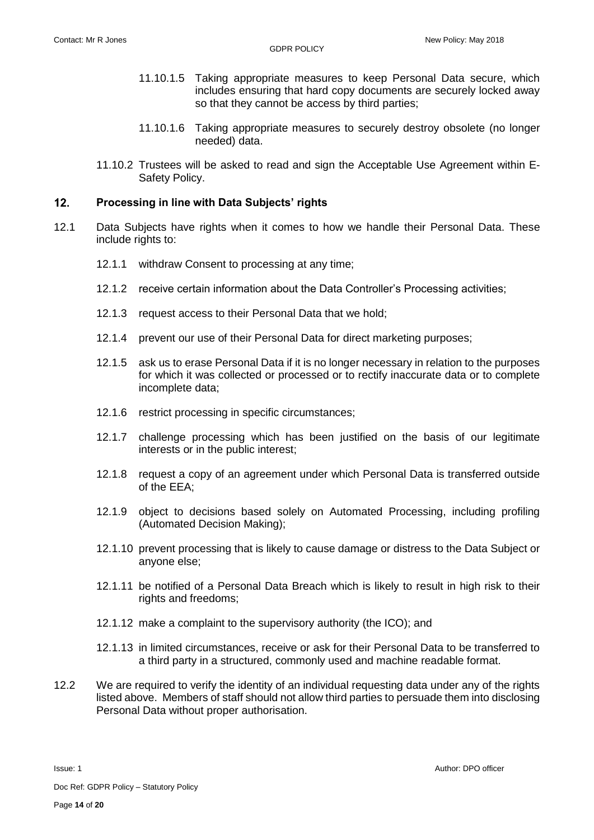- 11.10.1.5 Taking appropriate measures to keep Personal Data secure, which includes ensuring that hard copy documents are securely locked away so that they cannot be access by third parties;
- 11.10.1.6 Taking appropriate measures to securely destroy obsolete (no longer needed) data.
- 11.10.2 Trustees will be asked to read and sign the Acceptable Use Agreement within E-Safety Policy.

#### $12.$ **Processing in line with Data Subjects' rights**

- 12.1 Data Subjects have rights when it comes to how we handle their Personal Data. These include rights to:
	- 12.1.1 withdraw Consent to processing at any time;
	- 12.1.2 receive certain information about the Data Controller's Processing activities;
	- 12.1.3 request access to their Personal Data that we hold;
	- 12.1.4 prevent our use of their Personal Data for direct marketing purposes;
	- 12.1.5 ask us to erase Personal Data if it is no longer necessary in relation to the purposes for which it was collected or processed or to rectify inaccurate data or to complete incomplete data;
	- 12.1.6 restrict processing in specific circumstances;
	- 12.1.7 challenge processing which has been justified on the basis of our legitimate interests or in the public interest;
	- 12.1.8 request a copy of an agreement under which Personal Data is transferred outside of the EEA;
	- 12.1.9 object to decisions based solely on Automated Processing, including profiling (Automated Decision Making);
	- 12.1.10 prevent processing that is likely to cause damage or distress to the Data Subject or anyone else;
	- 12.1.11 be notified of a Personal Data Breach which is likely to result in high risk to their rights and freedoms;
	- 12.1.12 make a complaint to the supervisory authority (the ICO); and
	- 12.1.13 in limited circumstances, receive or ask for their Personal Data to be transferred to a third party in a structured, commonly used and machine readable format.
- 12.2 We are required to verify the identity of an individual requesting data under any of the rights listed above. Members of staff should not allow third parties to persuade them into disclosing Personal Data without proper authorisation.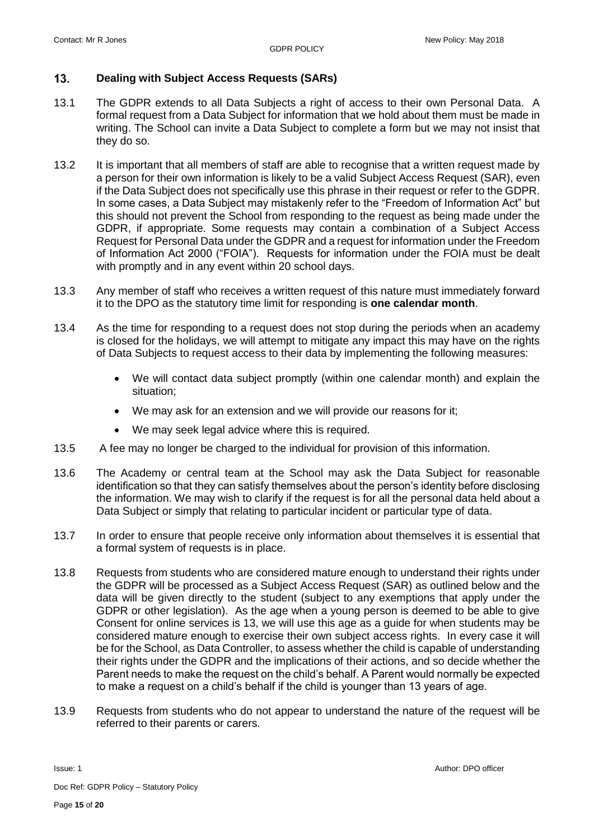#### $13.$ **Dealing with Subject Access Requests (SARs)**

- 13.1 The GDPR extends to all Data Subjects a right of access to their own Personal Data. A formal request from a Data Subject for information that we hold about them must be made in writing. The School can invite a Data Subject to complete a form but we may not insist that they do so.
- 13.2 It is important that all members of staff are able to recognise that a written request made by a person for their own information is likely to be a valid Subject Access Request (SAR), even if the Data Subject does not specifically use this phrase in their request or refer to the GDPR. In some cases, a Data Subject may mistakenly refer to the "Freedom of Information Act" but this should not prevent the School from responding to the request as being made under the GDPR, if appropriate. Some requests may contain a combination of a Subject Access Request for Personal Data under the GDPR and a request for information under the Freedom of Information Act 2000 ("FOIA"). Requests for information under the FOIA must be dealt with promptly and in any event within 20 school days.
- 13.3 Any member of staff who receives a written request of this nature must immediately forward it to the DPO as the statutory time limit for responding is **one calendar month**.
- 13.4 As the time for responding to a request does not stop during the periods when an academy is closed for the holidays, we will attempt to mitigate any impact this may have on the rights of Data Subjects to request access to their data by implementing the following measures:
	- We will contact data subject promptly (within one calendar month) and explain the situation;
	- We may ask for an extension and we will provide our reasons for it;
	- We may seek legal advice where this is required.
- 13.5 A fee may no longer be charged to the individual for provision of this information.
- 13.6 The Academy or central team at the School may ask the Data Subject for reasonable identification so that they can satisfy themselves about the person's identity before disclosing the information. We may wish to clarify if the request is for all the personal data held about a Data Subject or simply that relating to particular incident or particular type of data.
- 13.7 In order to ensure that people receive only information about themselves it is essential that a formal system of requests is in place.
- 13.8 Requests from students who are considered mature enough to understand their rights under the GDPR will be processed as a Subject Access Request (SAR) as outlined below and the data will be given directly to the student (subject to any exemptions that apply under the GDPR or other legislation). As the age when a young person is deemed to be able to give Consent for online services is 13, we will use this age as a guide for when students may be considered mature enough to exercise their own subject access rights. In every case it will be for the School, as Data Controller, to assess whether the child is capable of understanding their rights under the GDPR and the implications of their actions, and so decide whether the Parent needs to make the request on the child's behalf. A Parent would normally be expected to make a request on a child's behalf if the child is younger than 13 years of age.
- 13.9 Requests from students who do not appear to understand the nature of the request will be referred to their parents or carers.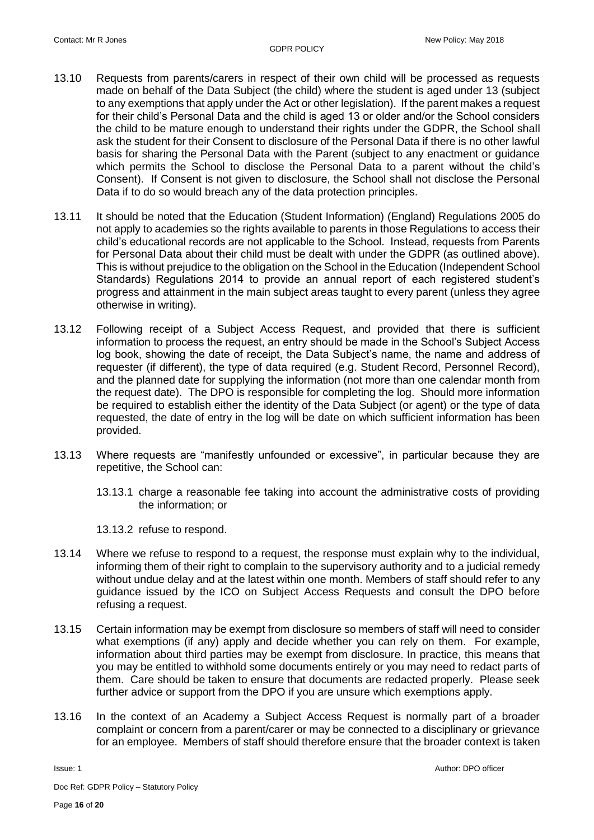- 13.10 Requests from parents/carers in respect of their own child will be processed as requests made on behalf of the Data Subject (the child) where the student is aged under 13 (subject to any exemptions that apply under the Act or other legislation). If the parent makes a request for their child's Personal Data and the child is aged 13 or older and/or the School considers the child to be mature enough to understand their rights under the GDPR, the School shall ask the student for their Consent to disclosure of the Personal Data if there is no other lawful basis for sharing the Personal Data with the Parent (subject to any enactment or guidance which permits the School to disclose the Personal Data to a parent without the child's Consent). If Consent is not given to disclosure, the School shall not disclose the Personal Data if to do so would breach any of the data protection principles.
- 13.11 It should be noted that the Education (Student Information) (England) Regulations 2005 do not apply to academies so the rights available to parents in those Regulations to access their child's educational records are not applicable to the School. Instead, requests from Parents for Personal Data about their child must be dealt with under the GDPR (as outlined above). This is without prejudice to the obligation on the School in the Education (Independent School Standards) Regulations 2014 to provide an annual report of each registered student's progress and attainment in the main subject areas taught to every parent (unless they agree otherwise in writing).
- 13.12 Following receipt of a Subject Access Request, and provided that there is sufficient information to process the request, an entry should be made in the School's Subject Access log book, showing the date of receipt, the Data Subject's name, the name and address of requester (if different), the type of data required (e.g. Student Record, Personnel Record), and the planned date for supplying the information (not more than one calendar month from the request date). The DPO is responsible for completing the log. Should more information be required to establish either the identity of the Data Subject (or agent) or the type of data requested, the date of entry in the log will be date on which sufficient information has been provided.
- 13.13 Where requests are "manifestly unfounded or excessive", in particular because they are repetitive, the School can:
	- 13.13.1 charge a reasonable fee taking into account the administrative costs of providing the information; or

13.13.2 refuse to respond.

- 13.14 Where we refuse to respond to a request, the response must explain why to the individual, informing them of their right to complain to the supervisory authority and to a judicial remedy without undue delay and at the latest within one month. Members of staff should refer to any guidance issued by the ICO on Subject Access Requests and consult the DPO before refusing a request.
- 13.15 Certain information may be exempt from disclosure so members of staff will need to consider what exemptions (if any) apply and decide whether you can rely on them. For example, information about third parties may be exempt from disclosure. In practice, this means that you may be entitled to withhold some documents entirely or you may need to redact parts of them. Care should be taken to ensure that documents are redacted properly. Please seek further advice or support from the DPO if you are unsure which exemptions apply.
- 13.16 In the context of an Academy a Subject Access Request is normally part of a broader complaint or concern from a parent/carer or may be connected to a disciplinary or grievance for an employee. Members of staff should therefore ensure that the broader context is taken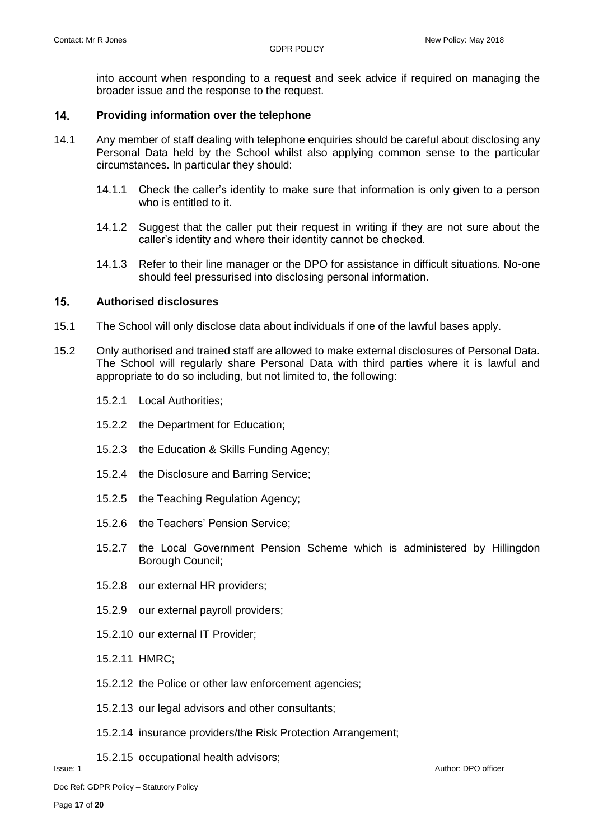into account when responding to a request and seek advice if required on managing the broader issue and the response to the request.

#### $14.$ **Providing information over the telephone**

- 14.1 Any member of staff dealing with telephone enquiries should be careful about disclosing any Personal Data held by the School whilst also applying common sense to the particular circumstances. In particular they should:
	- 14.1.1 Check the caller's identity to make sure that information is only given to a person who is entitled to it.
	- 14.1.2 Suggest that the caller put their request in writing if they are not sure about the caller's identity and where their identity cannot be checked.
	- 14.1.3 Refer to their line manager or the DPO for assistance in difficult situations. No-one should feel pressurised into disclosing personal information.

#### $15.$ **Authorised disclosures**

- 15.1 The School will only disclose data about individuals if one of the lawful bases apply.
- 15.2 Only authorised and trained staff are allowed to make external disclosures of Personal Data. The School will regularly share Personal Data with third parties where it is lawful and appropriate to do so including, but not limited to, the following:
	- 15.2.1 Local Authorities;
	- 15.2.2 the Department for Education;
	- 15.2.3 the Education & Skills Funding Agency;
	- 15.2.4 the Disclosure and Barring Service;
	- 15.2.5 the Teaching Regulation Agency;
	- 15.2.6 the Teachers' Pension Service;
	- 15.2.7 the Local Government Pension Scheme which is administered by Hillingdon Borough Council;
	- 15.2.8 our external HR providers;
	- 15.2.9 our external payroll providers;
	- 15.2.10 our external IT Provider;
	- 15.2.11 HMRC;
	- 15.2.12 the Police or other law enforcement agencies;
	- 15.2.13 our legal advisors and other consultants;
	- 15.2.14 insurance providers/the Risk Protection Arrangement;
- **Issue: 1** Author: DPO officer 15.2.15 occupational health advisors;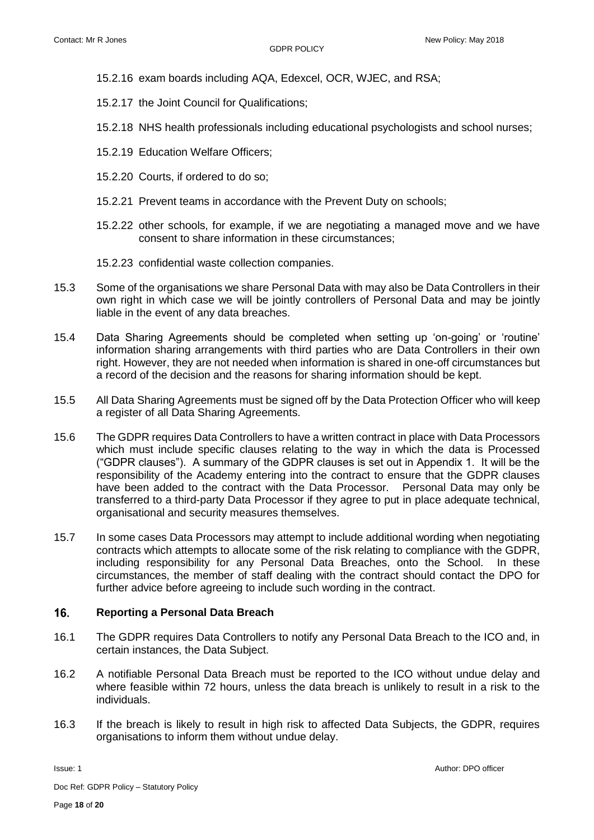- 15.2.16 exam boards including AQA, Edexcel, OCR, WJEC, and RSA;
- 15.2.17 the Joint Council for Qualifications;
- 15.2.18 NHS health professionals including educational psychologists and school nurses;
- 15.2.19 Education Welfare Officers;
- 15.2.20 Courts, if ordered to do so;
- 15.2.21 Prevent teams in accordance with the Prevent Duty on schools;
- 15.2.22 other schools, for example, if we are negotiating a managed move and we have consent to share information in these circumstances;
- 15.2.23 confidential waste collection companies.
- 15.3 Some of the organisations we share Personal Data with may also be Data Controllers in their own right in which case we will be jointly controllers of Personal Data and may be jointly liable in the event of any data breaches.
- 15.4 Data Sharing Agreements should be completed when setting up 'on-going' or 'routine' information sharing arrangements with third parties who are Data Controllers in their own right. However, they are not needed when information is shared in one-off circumstances but a record of the decision and the reasons for sharing information should be kept.
- 15.5 All Data Sharing Agreements must be signed off by the Data Protection Officer who will keep a register of all Data Sharing Agreements.
- 15.6 The GDPR requires Data Controllers to have a written contract in place with Data Processors which must include specific clauses relating to the way in which the data is Processed ("GDPR clauses"). A summary of the GDPR clauses is set out in Appendix 1. It will be the responsibility of the Academy entering into the contract to ensure that the GDPR clauses have been added to the contract with the Data Processor. Personal Data may only be transferred to a third-party Data Processor if they agree to put in place adequate technical, organisational and security measures themselves.
- 15.7 In some cases Data Processors may attempt to include additional wording when negotiating contracts which attempts to allocate some of the risk relating to compliance with the GDPR, including responsibility for any Personal Data Breaches, onto the School. In these circumstances, the member of staff dealing with the contract should contact the DPO for further advice before agreeing to include such wording in the contract.

#### $16.$ **Reporting a Personal Data Breach**

- 16.1 The GDPR requires Data Controllers to notify any Personal Data Breach to the ICO and, in certain instances, the Data Subject.
- 16.2 A notifiable Personal Data Breach must be reported to the ICO without undue delay and where feasible within 72 hours, unless the data breach is unlikely to result in a risk to the individuals.
- 16.3 If the breach is likely to result in high risk to affected Data Subjects, the GDPR, requires organisations to inform them without undue delay.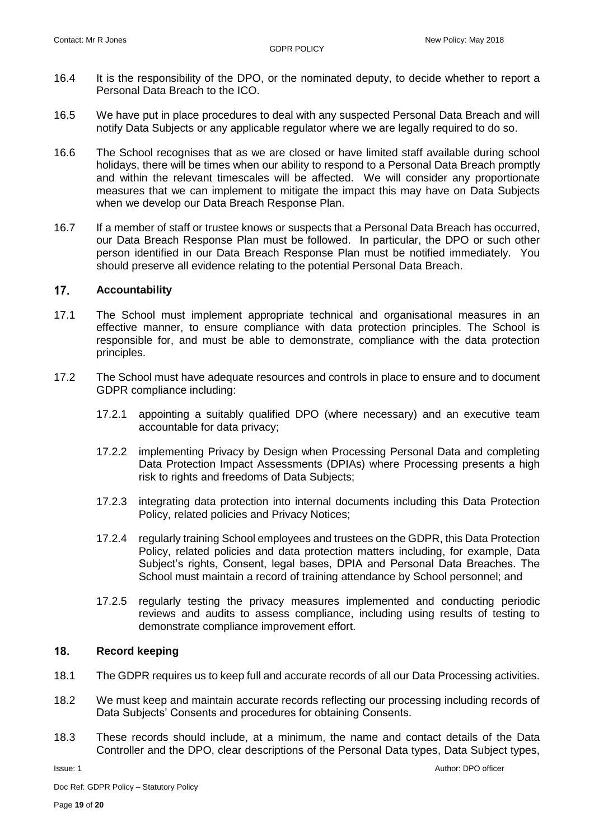- 16.4 It is the responsibility of the DPO, or the nominated deputy, to decide whether to report a Personal Data Breach to the ICO.
- 16.5 We have put in place procedures to deal with any suspected Personal Data Breach and will notify Data Subjects or any applicable regulator where we are legally required to do so.
- 16.6 The School recognises that as we are closed or have limited staff available during school holidays, there will be times when our ability to respond to a Personal Data Breach promptly and within the relevant timescales will be affected. We will consider any proportionate measures that we can implement to mitigate the impact this may have on Data Subjects when we develop our Data Breach Response Plan.
- 16.7 If a member of staff or trustee knows or suspects that a Personal Data Breach has occurred, our Data Breach Response Plan must be followed. In particular, the DPO or such other person identified in our Data Breach Response Plan must be notified immediately. You should preserve all evidence relating to the potential Personal Data Breach.

#### $17.$ **Accountability**

- 17.1 The School must implement appropriate technical and organisational measures in an effective manner, to ensure compliance with data protection principles. The School is responsible for, and must be able to demonstrate, compliance with the data protection principles.
- 17.2 The School must have adequate resources and controls in place to ensure and to document GDPR compliance including:
	- 17.2.1 appointing a suitably qualified DPO (where necessary) and an executive team accountable for data privacy;
	- 17.2.2 implementing Privacy by Design when Processing Personal Data and completing Data Protection Impact Assessments (DPIAs) where Processing presents a high risk to rights and freedoms of Data Subjects;
	- 17.2.3 integrating data protection into internal documents including this Data Protection Policy, related policies and Privacy Notices;
	- 17.2.4 regularly training School employees and trustees on the GDPR, this Data Protection Policy, related policies and data protection matters including, for example, Data Subject's rights, Consent, legal bases, DPIA and Personal Data Breaches. The School must maintain a record of training attendance by School personnel; and
	- 17.2.5 regularly testing the privacy measures implemented and conducting periodic reviews and audits to assess compliance, including using results of testing to demonstrate compliance improvement effort.

#### $18.$ **Record keeping**

- 18.1 The GDPR requires us to keep full and accurate records of all our Data Processing activities.
- 18.2 We must keep and maintain accurate records reflecting our processing including records of Data Subjects' Consents and procedures for obtaining Consents.
- 18.3 These records should include, at a minimum, the name and contact details of the Data Controller and the DPO, clear descriptions of the Personal Data types, Data Subject types,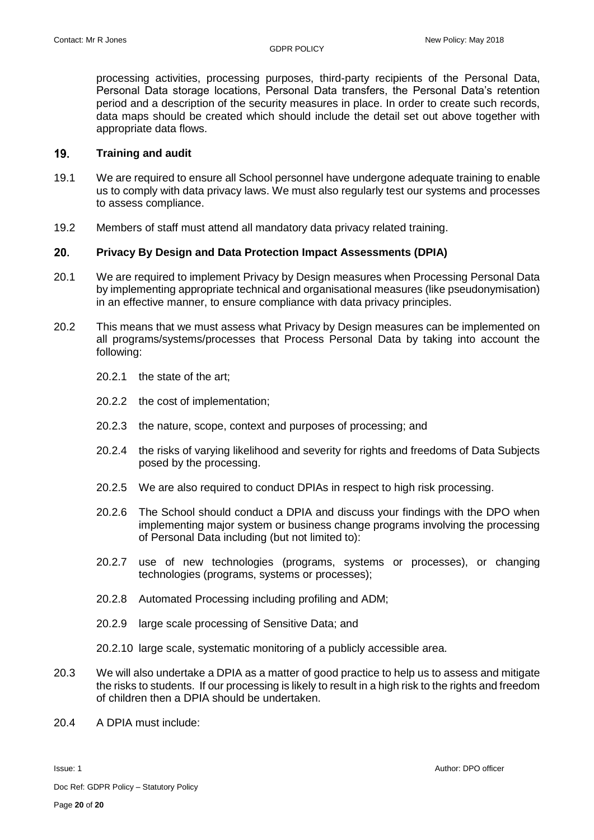processing activities, processing purposes, third-party recipients of the Personal Data, Personal Data storage locations, Personal Data transfers, the Personal Data's retention period and a description of the security measures in place. In order to create such records, data maps should be created which should include the detail set out above together with appropriate data flows.

#### 19. **Training and audit**

- 19.1 We are required to ensure all School personnel have undergone adequate training to enable us to comply with data privacy laws. We must also regularly test our systems and processes to assess compliance.
- 19.2 Members of staff must attend all mandatory data privacy related training.

#### $20.$ **Privacy By Design and Data Protection Impact Assessments (DPIA)**

- 20.1 We are required to implement Privacy by Design measures when Processing Personal Data by implementing appropriate technical and organisational measures (like pseudonymisation) in an effective manner, to ensure compliance with data privacy principles.
- 20.2 This means that we must assess what Privacy by Design measures can be implemented on all programs/systems/processes that Process Personal Data by taking into account the following:
	- 20.2.1 the state of the art;
	- 20.2.2 the cost of implementation;
	- 20.2.3 the nature, scope, context and purposes of processing; and
	- 20.2.4 the risks of varying likelihood and severity for rights and freedoms of Data Subjects posed by the processing.
	- 20.2.5 We are also required to conduct DPIAs in respect to high risk processing.
	- 20.2.6 The School should conduct a DPIA and discuss your findings with the DPO when implementing major system or business change programs involving the processing of Personal Data including (but not limited to):
	- 20.2.7 use of new technologies (programs, systems or processes), or changing technologies (programs, systems or processes);
	- 20.2.8 Automated Processing including profiling and ADM;
	- 20.2.9 large scale processing of Sensitive Data; and
	- 20.2.10 large scale, systematic monitoring of a publicly accessible area.
- 20.3 We will also undertake a DPIA as a matter of good practice to help us to assess and mitigate the risks to students. If our processing is likely to result in a high risk to the rights and freedom of children then a DPIA should be undertaken.
- 20.4 A DPIA must include: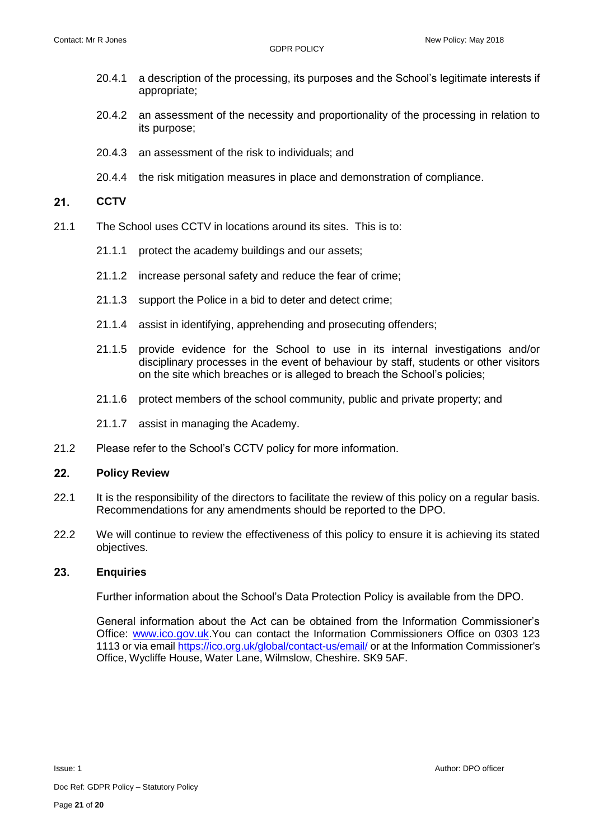- 20.4.1 a description of the processing, its purposes and the School's legitimate interests if appropriate;
- 20.4.2 an assessment of the necessity and proportionality of the processing in relation to its purpose;
- 20.4.3 an assessment of the risk to individuals; and
- 20.4.4 the risk mitigation measures in place and demonstration of compliance.

#### $21.$ **CCTV**

- 21.1 The School uses CCTV in locations around its sites. This is to:
	- 21.1.1 protect the academy buildings and our assets;
	- 21.1.2 increase personal safety and reduce the fear of crime;
	- 21.1.3 support the Police in a bid to deter and detect crime;
	- 21.1.4 assist in identifying, apprehending and prosecuting offenders;
	- 21.1.5 provide evidence for the School to use in its internal investigations and/or disciplinary processes in the event of behaviour by staff, students or other visitors on the site which breaches or is alleged to breach the School's policies;
	- 21.1.6 protect members of the school community, public and private property; and
	- 21.1.7 assist in managing the Academy.
- 21.2 Please refer to the School's CCTV policy for more information.

#### $22.$ **Policy Review**

- 22.1 It is the responsibility of the directors to facilitate the review of this policy on a regular basis. Recommendations for any amendments should be reported to the DPO.
- 22.2 We will continue to review the effectiveness of this policy to ensure it is achieving its stated objectives.

#### 23. **Enquiries**

Further information about the School's Data Protection Policy is available from the DPO.

General information about the Act can be obtained from the Information Commissioner's Office: [www.ico.gov.uk.](http://www.ico.gov.uk/)You can contact the Information Commissioners Office on 0303 123 1113 or via email<https://ico.org.uk/global/contact-us/email/> or at the Information Commissioner's Office, Wycliffe House, Water Lane, Wilmslow, Cheshire. SK9 5AF.